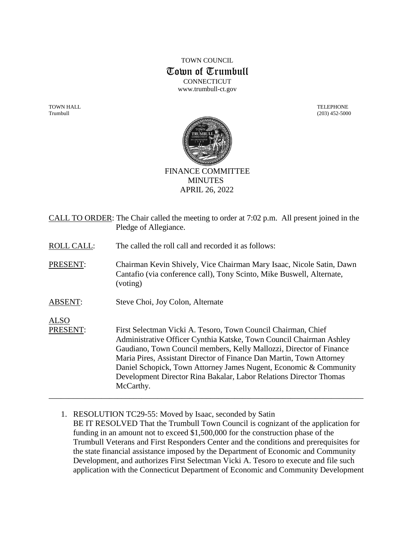# TOWN COUNCIL Town of Trumbull **CONNECTICUT** www.trumbull-ct.gov

TOWN HALL TELEPHONE Trumbull (203) 452-5000



FINANCE COMMITTEE MINUTES APRIL 26, 2022

|                         | CALL TO ORDER: The Chair called the meeting to order at 7:02 p.m. All present joined in the<br>Pledge of Allegiance.                                                                                                                                                                                                                                                                                                                        |
|-------------------------|---------------------------------------------------------------------------------------------------------------------------------------------------------------------------------------------------------------------------------------------------------------------------------------------------------------------------------------------------------------------------------------------------------------------------------------------|
| <b>ROLL CALL:</b>       | The called the roll call and recorded it as follows:                                                                                                                                                                                                                                                                                                                                                                                        |
| PRESENT:                | Chairman Kevin Shively, Vice Chairman Mary Isaac, Nicole Satin, Dawn<br>Cantafio (via conference call), Tony Scinto, Mike Buswell, Alternate,<br>(voting)                                                                                                                                                                                                                                                                                   |
| <b>ABSENT:</b>          | Steve Choi, Joy Colon, Alternate                                                                                                                                                                                                                                                                                                                                                                                                            |
| <b>ALSO</b><br>PRESENT: | First Selectman Vicki A. Tesoro, Town Council Chairman, Chief<br>Administrative Officer Cynthia Katske, Town Council Chairman Ashley<br>Gaudiano, Town Council members, Kelly Mallozzi, Director of Finance<br>Maria Pires, Assistant Director of Finance Dan Martin, Town Attorney<br>Daniel Schopick, Town Attorney James Nugent, Economic & Community<br>Development Director Rina Bakalar, Labor Relations Director Thomas<br>McCarthy. |

1. RESOLUTION TC29-55: Moved by Isaac, seconded by Satin BE IT RESOLVED That the Trumbull Town Council is cognizant of the application for funding in an amount not to exceed \$1,500,000 for the construction phase of the Trumbull Veterans and First Responders Center and the conditions and prerequisites for the state financial assistance imposed by the Department of Economic and Community Development, and authorizes First Selectman Vicki A. Tesoro to execute and file such application with the Connecticut Department of Economic and Community Development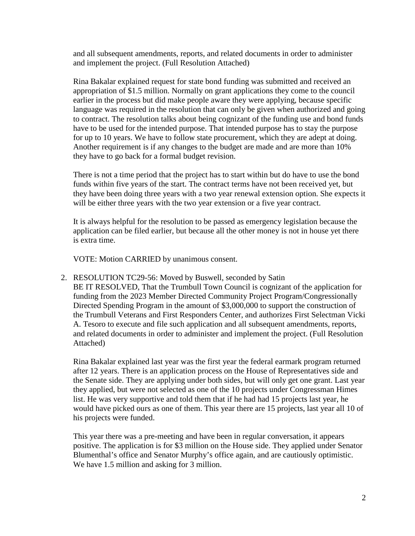and all subsequent amendments, reports, and related documents in order to administer and implement the project. (Full Resolution Attached)

Rina Bakalar explained request for state bond funding was submitted and received an appropriation of \$1.5 million. Normally on grant applications they come to the council earlier in the process but did make people aware they were applying, because specific language was required in the resolution that can only be given when authorized and going to contract. The resolution talks about being cognizant of the funding use and bond funds have to be used for the intended purpose. That intended purpose has to stay the purpose for up to 10 years. We have to follow state procurement, which they are adept at doing. Another requirement is if any changes to the budget are made and are more than 10% they have to go back for a formal budget revision.

There is not a time period that the project has to start within but do have to use the bond funds within five years of the start. The contract terms have not been received yet, but they have been doing three years with a two year renewal extension option. She expects it will be either three years with the two year extension or a five year contract.

It is always helpful for the resolution to be passed as emergency legislation because the application can be filed earlier, but because all the other money is not in house yet there is extra time.

VOTE: Motion CARRIED by unanimous consent.

2. RESOLUTION TC29-56: Moved by Buswell, seconded by Satin BE IT RESOLVED, That the Trumbull Town Council is cognizant of the application for funding from the 2023 Member Directed Community Project Program/Congressionally Directed Spending Program in the amount of \$3,000,000 to support the construction of the Trumbull Veterans and First Responders Center, and authorizes First Selectman Vicki A. Tesoro to execute and file such application and all subsequent amendments, reports, and related documents in order to administer and implement the project. (Full Resolution Attached)

Rina Bakalar explained last year was the first year the federal earmark program returned after 12 years. There is an application process on the House of Representatives side and the Senate side. They are applying under both sides, but will only get one grant. Last year they applied, but were not selected as one of the 10 projects under Congressman Himes list. He was very supportive and told them that if he had had 15 projects last year, he would have picked ours as one of them. This year there are 15 projects, last year all 10 of his projects were funded.

This year there was a pre-meeting and have been in regular conversation, it appears positive. The application is for \$3 million on the House side. They applied under Senator Blumenthal's office and Senator Murphy's office again, and are cautiously optimistic. We have 1.5 million and asking for 3 million.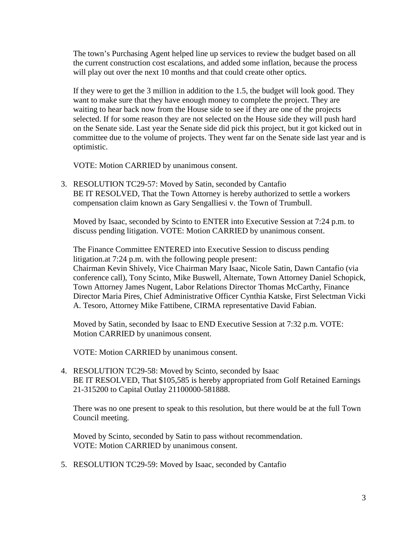The town's Purchasing Agent helped line up services to review the budget based on all the current construction cost escalations, and added some inflation, because the process will play out over the next 10 months and that could create other optics.

If they were to get the 3 million in addition to the 1.5, the budget will look good. They want to make sure that they have enough money to complete the project. They are waiting to hear back now from the House side to see if they are one of the projects selected. If for some reason they are not selected on the House side they will push hard on the Senate side. Last year the Senate side did pick this project, but it got kicked out in committee due to the volume of projects. They went far on the Senate side last year and is optimistic.

VOTE: Motion CARRIED by unanimous consent.

3. RESOLUTION TC29-57: Moved by Satin, seconded by Cantafio BE IT RESOLVED, That the Town Attorney is hereby authorized to settle a workers compensation claim known as Gary Sengalliesi v. the Town of Trumbull.

Moved by Isaac, seconded by Scinto to ENTER into Executive Session at 7:24 p.m. to discuss pending litigation. VOTE: Motion CARRIED by unanimous consent.

The Finance Committee ENTERED into Executive Session to discuss pending litigation.at 7:24 p.m. with the following people present: Chairman Kevin Shively, Vice Chairman Mary Isaac, Nicole Satin, Dawn Cantafio (via conference call), Tony Scinto, Mike Buswell, Alternate, Town Attorney Daniel Schopick, Town Attorney James Nugent, Labor Relations Director Thomas McCarthy, Finance Director Maria Pires, Chief Administrative Officer Cynthia Katske, First Selectman Vicki A. Tesoro, Attorney Mike Fattibene, CIRMA representative David Fabian.

Moved by Satin, seconded by Isaac to END Executive Session at 7:32 p.m. VOTE: Motion CARRIED by unanimous consent.

VOTE: Motion CARRIED by unanimous consent.

4. RESOLUTION TC29-58: Moved by Scinto, seconded by Isaac BE IT RESOLVED, That \$105,585 is hereby appropriated from Golf Retained Earnings 21-315200 to Capital Outlay 21100000-581888.

There was no one present to speak to this resolution, but there would be at the full Town Council meeting.

Moved by Scinto, seconded by Satin to pass without recommendation. VOTE: Motion CARRIED by unanimous consent.

5. RESOLUTION TC29-59: Moved by Isaac, seconded by Cantafio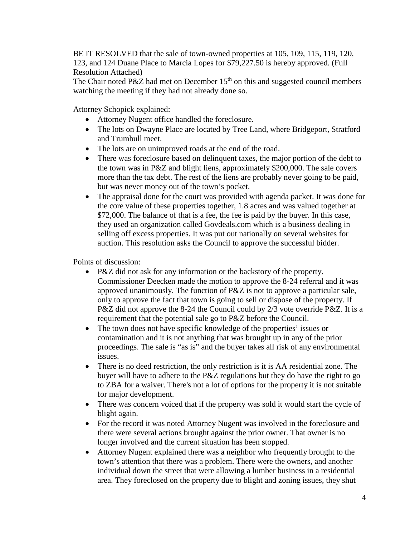BE IT RESOLVED that the sale of town-owned properties at 105, 109, 115, 119, 120, 123, and 124 Duane Place to Marcia Lopes for \$79,227.50 is hereby approved. (Full Resolution Attached)

The Chair noted P&Z had met on December  $15<sup>th</sup>$  on this and suggested council members watching the meeting if they had not already done so.

Attorney Schopick explained:

- Attorney Nugent office handled the foreclosure.
- The lots on Dwayne Place are located by Tree Land, where Bridgeport, Stratford and Trumbull meet.
- The lots are on unimproved roads at the end of the road.
- There was foreclosure based on delinquent taxes, the major portion of the debt to the town was in P&Z and blight liens, approximately \$200,000. The sale covers more than the tax debt. The rest of the liens are probably never going to be paid, but was never money out of the town's pocket.
- The appraisal done for the court was provided with agenda packet. It was done for the core value of these properties together, 1.8 acres and was valued together at \$72,000. The balance of that is a fee, the fee is paid by the buyer. In this case, they used an organization called Govdeals.com which is a business dealing in selling off excess properties. It was put out nationally on several websites for auction. This resolution asks the Council to approve the successful bidder.

Points of discussion:

- P&Z did not ask for any information or the backstory of the property. Commissioner Deecken made the motion to approve the 8-24 referral and it was approved unanimously. The function of P&Z is not to approve a particular sale, only to approve the fact that town is going to sell or dispose of the property. If P&Z did not approve the 8-24 the Council could by 2/3 vote override P&Z. It is a requirement that the potential sale go to P&Z before the Council.
- The town does not have specific knowledge of the properties' issues or contamination and it is not anything that was brought up in any of the prior proceedings. The sale is "as is" and the buyer takes all risk of any environmental issues.
- There is no deed restriction, the only restriction is it is AA residential zone. The buyer will have to adhere to the P&Z regulations but they do have the right to go to ZBA for a waiver. There's not a lot of options for the property it is not suitable for major development.
- There was concern voiced that if the property was sold it would start the cycle of blight again.
- For the record it was noted Attorney Nugent was involved in the foreclosure and there were several actions brought against the prior owner. That owner is no longer involved and the current situation has been stopped.
- Attorney Nugent explained there was a neighbor who frequently brought to the town's attention that there was a problem. There were the owners, and another individual down the street that were allowing a lumber business in a residential area. They foreclosed on the property due to blight and zoning issues, they shut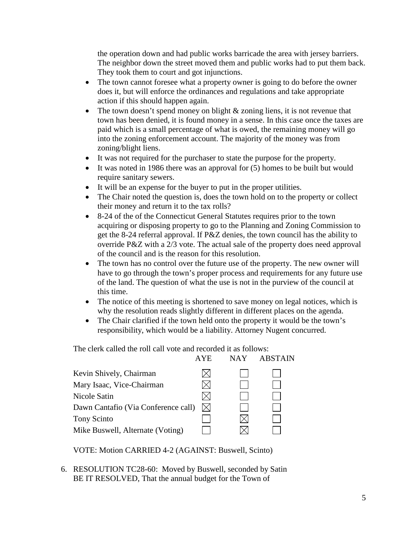the operation down and had public works barricade the area with jersey barriers. The neighbor down the street moved them and public works had to put them back. They took them to court and got injunctions.

- The town cannot foresee what a property owner is going to do before the owner does it, but will enforce the ordinances and regulations and take appropriate action if this should happen again.
- The town doesn't spend money on blight & zoning liens, it is not revenue that town has been denied, it is found money in a sense. In this case once the taxes are paid which is a small percentage of what is owed, the remaining money will go into the zoning enforcement account. The majority of the money was from zoning/blight liens.
- It was not required for the purchaser to state the purpose for the property.
- It was noted in 1986 there was an approval for (5) homes to be built but would require sanitary sewers.
- It will be an expense for the buyer to put in the proper utilities.
- The Chair noted the question is, does the town hold on to the property or collect their money and return it to the tax rolls?
- 8-24 of the of the Connecticut General Statutes requires prior to the town acquiring or disposing property to go to the Planning and Zoning Commission to get the 8-24 referral approval. If P&Z denies, the town council has the ability to override P&Z with a 2/3 vote. The actual sale of the property does need approval of the council and is the reason for this resolution.
- The town has no control over the future use of the property. The new owner will have to go through the town's proper process and requirements for any future use of the land. The question of what the use is not in the purview of the council at this time.
- The notice of this meeting is shortened to save money on legal notices, which is why the resolution reads slightly different in different places on the agenda.
- The Chair clarified if the town held onto the property it would be the town's responsibility, which would be a liability. Attorney Nugent concurred.

The clerk called the roll call vote and recorded it as follows:

|                                     | <b>AYE</b>  | NAY | <b>ABSTAIN</b> |
|-------------------------------------|-------------|-----|----------------|
| Kevin Shively, Chairman             |             |     |                |
| Mary Isaac, Vice-Chairman           |             |     |                |
| Nicole Satin                        |             |     |                |
| Dawn Cantafio (Via Conference call) | $\boxtimes$ |     |                |
| Tony Scinto                         |             |     |                |
| Mike Buswell, Alternate (Voting)    |             |     |                |
|                                     |             |     |                |

VOTE: Motion CARRIED 4-2 (AGAINST: Buswell, Scinto)

6. RESOLUTION TC28-60: Moved by Buswell, seconded by Satin BE IT RESOLVED, That the annual budget for the Town of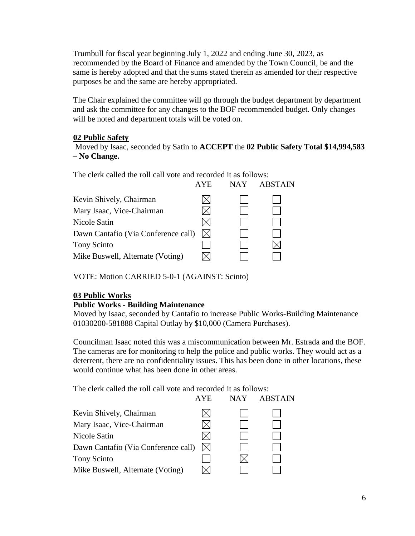Trumbull for fiscal year beginning July 1, 2022 and ending June 30, 2023, as recommended by the Board of Finance and amended by the Town Council, be and the same is hereby adopted and that the sums stated therein as amended for their respective purposes be and the same are hereby appropriated.

The Chair explained the committee will go through the budget department by department and ask the committee for any changes to the BOF recommended budget. Only changes will be noted and department totals will be voted on.

### **02 Public Safety**

 Moved by Isaac, seconded by Satin to **ACCEPT** the **02 Public Safety Total \$14,994,583 – No Change.** 

The clerk called the roll call vote and recorded it as follows:

|                                     | <b>AYE</b>  | <b>NAY</b> | <b>ABSTAIN</b> |
|-------------------------------------|-------------|------------|----------------|
| Kevin Shively, Chairman             |             |            |                |
| Mary Isaac, Vice-Chairman           |             |            |                |
| Nicole Satin                        |             |            |                |
| Dawn Cantafio (Via Conference call) | $\boxtimes$ |            |                |
| Tony Scinto                         |             |            |                |
| Mike Buswell, Alternate (Voting)    |             |            |                |
|                                     |             |            |                |

VOTE: Motion CARRIED 5-0-1 (AGAINST: Scinto)

# **03 Public Works**

#### **Public Works - Building Maintenance**

Moved by Isaac, seconded by Cantafio to increase Public Works-Building Maintenance 01030200-581888 Capital Outlay by \$10,000 (Camera Purchases).

Councilman Isaac noted this was a miscommunication between Mr. Estrada and the BOF. The cameras are for monitoring to help the police and public works. They would act as a deterrent, there are no confidentiality issues. This has been done in other locations, these would continue what has been done in other areas.

The clerk called the roll call vote and recorded it as follows:

|             | <b>NAY</b> | <b>ABSTAIN</b> |
|-------------|------------|----------------|
|             |            |                |
|             |            |                |
|             |            |                |
| $\boxtimes$ |            |                |
|             |            |                |
|             |            |                |
|             | <b>AYE</b> |                |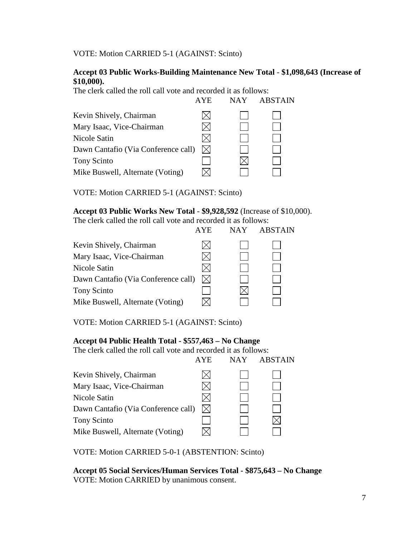VOTE: Motion CARRIED 5-1 (AGAINST: Scinto)

### **Accept 03 Public Works-Building Maintenance New Total** - **\$1,098,643 (Increase of \$10,000).**

The clerk called the roll call vote and recorded it as follows:

|                                     | AYE.        | <b>NAY</b> | <b>ABSTAIN</b> |
|-------------------------------------|-------------|------------|----------------|
| Kevin Shively, Chairman             |             |            |                |
| Mary Isaac, Vice-Chairman           |             |            |                |
| Nicole Satin                        |             |            |                |
| Dawn Cantafio (Via Conference call) | $\boxtimes$ |            |                |
| Tony Scinto                         |             |            |                |
| Mike Buswell, Alternate (Voting)    |             |            |                |
|                                     |             |            |                |

VOTE: Motion CARRIED 5-1 (AGAINST: Scinto)

#### **Accept 03 Public Works New Total** - **\$9,928,592** (Increase of \$10,000).

The clerk called the roll call vote and recorded it as follows:

|                                     | AYE         | NAY | <b>ABSTAIN</b> |
|-------------------------------------|-------------|-----|----------------|
| Kevin Shively, Chairman             |             |     |                |
| Mary Isaac, Vice-Chairman           |             |     |                |
| Nicole Satin                        |             |     |                |
| Dawn Cantafio (Via Conference call) | $\boxtimes$ |     |                |
| Tony Scinto                         |             |     |                |
| Mike Buswell, Alternate (Voting)    |             |     |                |
|                                     |             |     |                |

VOTE: Motion CARRIED 5-1 (AGAINST: Scinto)

# **Accept 04 Public Health Total - \$557,463 – No Change**

The clerk called the roll call vote and recorded it as follows:

|                                     | <b>AYE</b>  | NAY | <b>ABSTAIN</b> |
|-------------------------------------|-------------|-----|----------------|
| Kevin Shively, Chairman             |             |     |                |
| Mary Isaac, Vice-Chairman           |             |     |                |
| Nicole Satin                        |             |     |                |
| Dawn Cantafio (Via Conference call) | $\boxtimes$ |     |                |
| Tony Scinto                         |             |     |                |
| Mike Buswell, Alternate (Voting)    |             |     |                |
|                                     |             |     |                |

VOTE: Motion CARRIED 5-0-1 (ABSTENTION: Scinto)

 **Accept 05 Social Services/Human Services Total - \$875,643 – No Change** VOTE: Motion CARRIED by unanimous consent.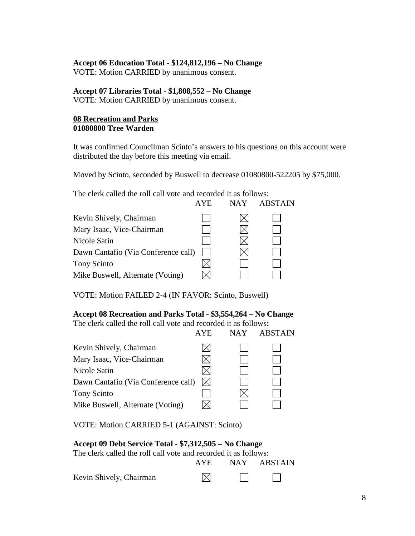#### **Accept 06 Education Total - \$124,812,196 – No Change**

VOTE: Motion CARRIED by unanimous consent.

### **Accept 07 Libraries Total - \$1,808,552 – No Change**

VOTE: Motion CARRIED by unanimous consent.

#### **08 Recreation and Parks 01080800 Tree Warden**

It was confirmed Councilman Scinto's answers to his questions on this account were distributed the day before this meeting via email.

Moved by Scinto, seconded by Buswell to decrease 01080800-522205 by \$75,000.

The clerk called the roll call vote and recorded it as follows:

|                                     | <b>AYE</b> | NAY | <b>ABSTAIN</b> |
|-------------------------------------|------------|-----|----------------|
| Kevin Shively, Chairman             |            |     |                |
| Mary Isaac, Vice-Chairman           |            |     |                |
| Nicole Satin                        |            |     |                |
| Dawn Cantafio (Via Conference call) |            |     |                |
| Tony Scinto                         |            |     |                |
| Mike Buswell, Alternate (Voting)    |            |     |                |
|                                     |            |     |                |

VOTE: Motion FAILED 2-4 (IN FAVOR: Scinto, Buswell)

#### **Accept 08 Recreation and Parks Total - \$3,554,264 – No Change**

The clerk called the roll call vote and recorded it as follows:

|                                     | <b>AYE</b>  | <b>NAY</b> | <b>ABSTAIN</b> |
|-------------------------------------|-------------|------------|----------------|
| Kevin Shively, Chairman             |             |            |                |
| Mary Isaac, Vice-Chairman           |             |            |                |
| Nicole Satin                        |             |            |                |
| Dawn Cantafio (Via Conference call) | $\boxtimes$ |            |                |
| Tony Scinto                         |             |            |                |
| Mike Buswell, Alternate (Voting)    |             |            |                |
|                                     |             |            |                |

VOTE: Motion CARRIED 5-1 (AGAINST: Scinto)

### **Accept 09 Debt Service Total - \$7,312,505 – No Change**

| The clerk called the roll call vote and recorded it as follows: |
|-----------------------------------------------------------------|
|-----------------------------------------------------------------|

|                         |  | AYE NAY ABSTAIN |
|-------------------------|--|-----------------|
| Kevin Shively, Chairman |  |                 |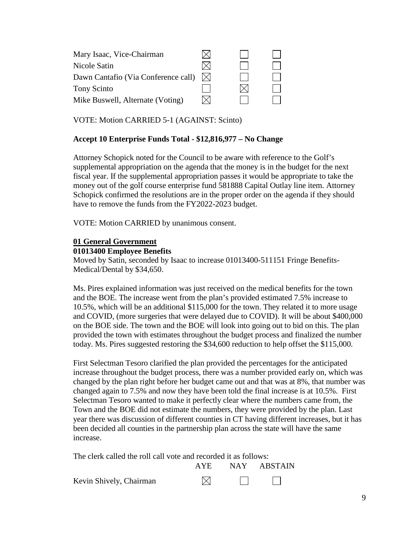| Mary Isaac, Vice-Chairman           |   |  |
|-------------------------------------|---|--|
| Nicole Satin                        |   |  |
| Dawn Cantafio (Via Conference call) | M |  |
| Tony Scinto                         |   |  |
| Mike Buswell, Alternate (Voting)    |   |  |

VOTE: Motion CARRIED 5-1 (AGAINST: Scinto)

# **Accept 10 Enterprise Funds Total - \$12,816,977 – No Change**

Attorney Schopick noted for the Council to be aware with reference to the Golf's supplemental appropriation on the agenda that the money is in the budget for the next fiscal year. If the supplemental appropriation passes it would be appropriate to take the money out of the golf course enterprise fund 581888 Capital Outlay line item. Attorney Schopick confirmed the resolutions are in the proper order on the agenda if they should have to remove the funds from the FY2022-2023 budget.

VOTE: Motion CARRIED by unanimous consent.

#### **01 General Government**

#### **01013400 Employee Benefits**

Moved by Satin, seconded by Isaac to increase 01013400-511151 Fringe Benefits-Medical/Dental by \$34,650.

Ms. Pires explained information was just received on the medical benefits for the town and the BOE. The increase went from the plan's provided estimated 7.5% increase to 10.5%, which will be an additional \$115,000 for the town. They related it to more usage and COVID, (more surgeries that were delayed due to COVID). It will be about \$400,000 on the BOE side. The town and the BOE will look into going out to bid on this. The plan provided the town with estimates throughout the budget process and finalized the number today. Ms. Pires suggested restoring the \$34,600 reduction to help offset the \$115,000.

First Selectman Tesoro clarified the plan provided the percentages for the anticipated increase throughout the budget process, there was a number provided early on, which was changed by the plan right before her budget came out and that was at 8%, that number was changed again to 7.5% and now they have been told the final increase is at 10.5%. First Selectman Tesoro wanted to make it perfectly clear where the numbers came from, the Town and the BOE did not estimate the numbers, they were provided by the plan. Last year there was discussion of different counties in CT having different increases, but it has been decided all counties in the partnership plan across the state will have the same increase.

The clerk called the roll call vote and recorded it as follows:

|                         | AYE | NAY ABSTAIN                                         |
|-------------------------|-----|-----------------------------------------------------|
| Kevin Shively, Chairman |     | <b>Contract Contract Contract Contract Contract</b> |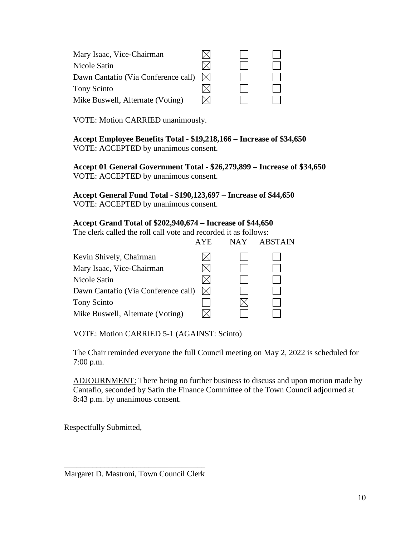| Mary Isaac, Vice-Chairman           |  |  |
|-------------------------------------|--|--|
| Nicole Satin                        |  |  |
| Dawn Cantafio (Via Conference call) |  |  |
| Tony Scinto                         |  |  |
| Mike Buswell, Alternate (Voting)    |  |  |

VOTE: Motion CARRIED unanimously.

**Accept Employee Benefits Total - \$19,218,166 – Increase of \$34,650**  VOTE: ACCEPTED by unanimous consent.

**Accept 01 General Government Total - \$26,279,899 – Increase of \$34,650**  VOTE: ACCEPTED by unanimous consent.

**Accept General Fund Total - \$190,123,697 – Increase of \$44,650**  VOTE: ACCEPTED by unanimous consent.

### **Accept Grand Total of \$202,940,674 – Increase of \$44,650**

The clerk called the roll call vote and recorded it as follows:

|                                     | <b>AYE</b>  | <b>NAY</b> | <b>ABSTAIN</b> |
|-------------------------------------|-------------|------------|----------------|
| Kevin Shively, Chairman             |             |            |                |
| Mary Isaac, Vice-Chairman           |             |            |                |
| Nicole Satin                        |             |            |                |
| Dawn Cantafio (Via Conference call) | $\boxtimes$ |            |                |
| <b>Tony Scinto</b>                  |             |            |                |
| Mike Buswell, Alternate (Voting)    |             |            |                |
|                                     |             |            |                |

VOTE: Motion CARRIED 5-1 (AGAINST: Scinto)

The Chair reminded everyone the full Council meeting on May 2, 2022 is scheduled for 7:00 p.m.

ADJOURNMENT: There being no further business to discuss and upon motion made by Cantafio, seconded by Satin the Finance Committee of the Town Council adjourned at 8:43 p.m. by unanimous consent.

Respectfully Submitted,

Margaret D. Mastroni, Town Council Clerk

 $\frac{1}{\sqrt{2}}$  ,  $\frac{1}{\sqrt{2}}$  ,  $\frac{1}{\sqrt{2}}$  ,  $\frac{1}{\sqrt{2}}$  ,  $\frac{1}{\sqrt{2}}$  ,  $\frac{1}{\sqrt{2}}$  ,  $\frac{1}{\sqrt{2}}$  ,  $\frac{1}{\sqrt{2}}$  ,  $\frac{1}{\sqrt{2}}$  ,  $\frac{1}{\sqrt{2}}$  ,  $\frac{1}{\sqrt{2}}$  ,  $\frac{1}{\sqrt{2}}$  ,  $\frac{1}{\sqrt{2}}$  ,  $\frac{1}{\sqrt{2}}$  ,  $\frac{1}{\sqrt{2}}$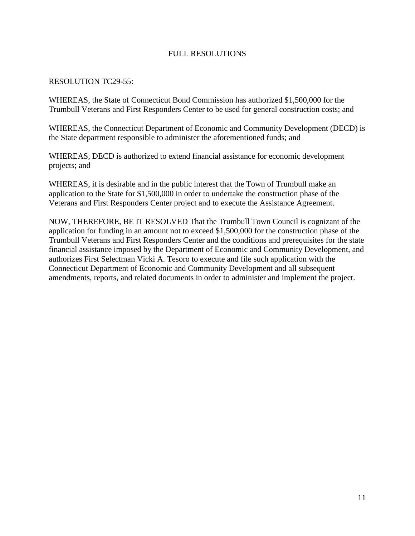# FULL RESOLUTIONS

### RESOLUTION TC29-55:

WHEREAS, the State of Connecticut Bond Commission has authorized \$1,500,000 for the Trumbull Veterans and First Responders Center to be used for general construction costs; and

WHEREAS, the Connecticut Department of Economic and Community Development (DECD) is the State department responsible to administer the aforementioned funds; and

WHEREAS, DECD is authorized to extend financial assistance for economic development projects; and

WHEREAS, it is desirable and in the public interest that the Town of Trumbull make an application to the State for \$1,500,000 in order to undertake the construction phase of the Veterans and First Responders Center project and to execute the Assistance Agreement.

NOW, THEREFORE, BE IT RESOLVED That the Trumbull Town Council is cognizant of the application for funding in an amount not to exceed \$1,500,000 for the construction phase of the Trumbull Veterans and First Responders Center and the conditions and prerequisites for the state financial assistance imposed by the Department of Economic and Community Development, and authorizes First Selectman Vicki A. Tesoro to execute and file such application with the Connecticut Department of Economic and Community Development and all subsequent amendments, reports, and related documents in order to administer and implement the project.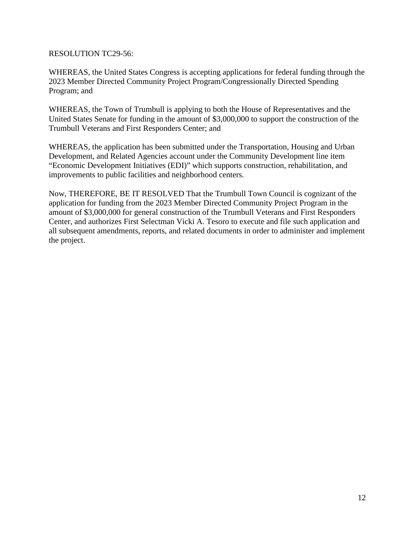### RESOLUTION TC29-56:

WHEREAS, the United States Congress is accepting applications for federal funding through the 2023 Member Directed Community Project Program/Congressionally Directed Spending Program; and

WHEREAS, the Town of Trumbull is applying to both the House of Representatives and the United States Senate for funding in the amount of \$3,000,000 to support the construction of the Trumbull Veterans and First Responders Center; and

WHEREAS, the application has been submitted under the Transportation, Housing and Urban Development, and Related Agencies account under the Community Development line item "Economic Development Initiatives (EDI)" which supports construction, rehabilitation, and improvements to public facilities and neighborhood centers.

Now, THEREFORE, BE IT RESOLVED That the Trumbull Town Council is cognizant of the application for funding from the 2023 Member Directed Community Project Program in the amount of \$3,000,000 for general construction of the Trumbull Veterans and First Responders Center, and authorizes First Selectman Vicki A. Tesoro to execute and file such application and all subsequent amendments, reports, and related documents in order to administer and implement the project.